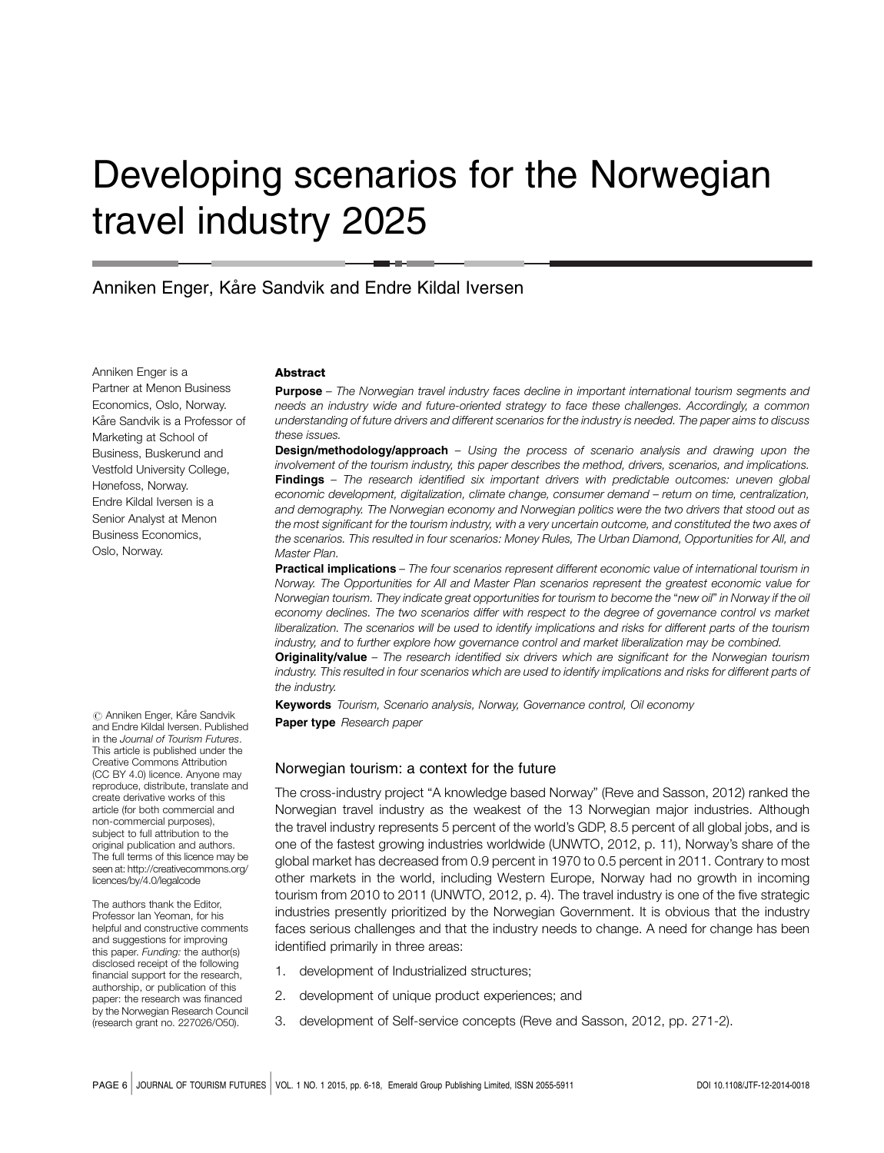# Developing scenarios for the Norwegian travel industry 2025

Anniken Enger, Kåre Sandvik and Endre Kildal Iversen

Anniken Enger is a Partner at Menon Business Economics, Oslo, Norway. Kåre Sandvik is a Professor of Marketing at School of Business, Buskerund and Vestfold University College, Hønefoss, Norway. Endre Kildal Iversen is a Senior Analyst at Menon Business Economics, Oslo, Norway.

#### Abstract

**Purpose** – The Norwegian travel industry faces decline in important international tourism segments and needs an industry wide and future-oriented strategy to face these challenges. Accordingly, a common understanding of future drivers and different scenarios for the industry is needed. The paper aims to discuss these *issues* 

**Design/methodology/approach** – Using the process of scenario analysis and drawing upon the involvement of the tourism industry, this paper describes the method, drivers, scenarios, and implications. Findings - The research identified six important drivers with predictable outcomes: uneven global economic development, digitalization, climate change, consumer demand – return on time, centralization, and demography. The Norwegian economy and Norwegian politics were the two drivers that stood out as the most significant for the tourism industry, with a very uncertain outcome, and constituted the two axes of the scenarios. This resulted in four scenarios: Money Rules, The Urban Diamond, Opportunities for All, and Master Plan.

Practical implications – The four scenarios represent different economic value of international tourism in Norway. The Opportunities for All and Master Plan scenarios represent the greatest economic value for Norwegian tourism. They indicate great opportunities for tourism to become the "new oil" in Norway if the oil economy declines. The two scenarios differ with respect to the degree of governance control vs market liberalization. The scenarios will be used to identify implications and risks for different parts of the tourism industry, and to further explore how governance control and market liberalization may be combined.

**Originality/value** – The research identified six drivers which are significant for the Norwegian tourism industry. This resulted in four scenarios which are used to identify implications and risks for different parts of the industry.

Keywords Tourism, Scenario analysis, Norway, Governance control, Oil economy Paper type Research paper

## Norwegian tourism: a context for the future

The cross-industry project "A knowledge based Norway" (Reve and Sasson, 2012) ranked the Norwegian travel industry as the weakest of the 13 Norwegian major industries. Although the travel industry represents 5 percent of the world's GDP, 8.5 percent of all global jobs, and is one of the fastest growing industries worldwide (UNWTO, 2012, p. 11), Norway's share of the global market has decreased from 0.9 percent in 1970 to 0.5 percent in 2011. Contrary to most other markets in the world, including Western Europe, Norway had no growth in incoming tourism from 2010 to 2011 (UNWTO, 2012, p. 4). The travel industry is one of the five strategic industries presently prioritized by the Norwegian Government. It is obvious that the industry faces serious challenges and that the industry needs to change. A need for change has been identified primarily in three areas:

- 1. development of Industrialized structures;
- 2. development of unique product experiences; and
- development of Self-service concepts (Reve and Sasson, 2012, pp. 271-2).

 $\circled{c}$  Anniken Enger, Kåre Sandvik and Endre Kildal Iversen. Published in the Journal of Tourism Futures. This article is published under the Creative Commons Attribution (CC BY 4.0) licence. Anyone may reproduce, distribute, translate and create derivative works of this article (for both commercial and non-commercial purposes), subject to full attribution to the original publication and authors. The full terms of this licence may be seen at: http://creativecommons.org/ licences/by/4.0/legalcode

The authors thank the Editor, Professor Ian Yeoman, for his helpful and constructive comments and suggestions for improving this paper. Funding: the author(s) disclosed receipt of the following financial support for the research, authorship, or publication of this paper: the research was financed by the Norwegian Research Council (research grant no. 227026/O50).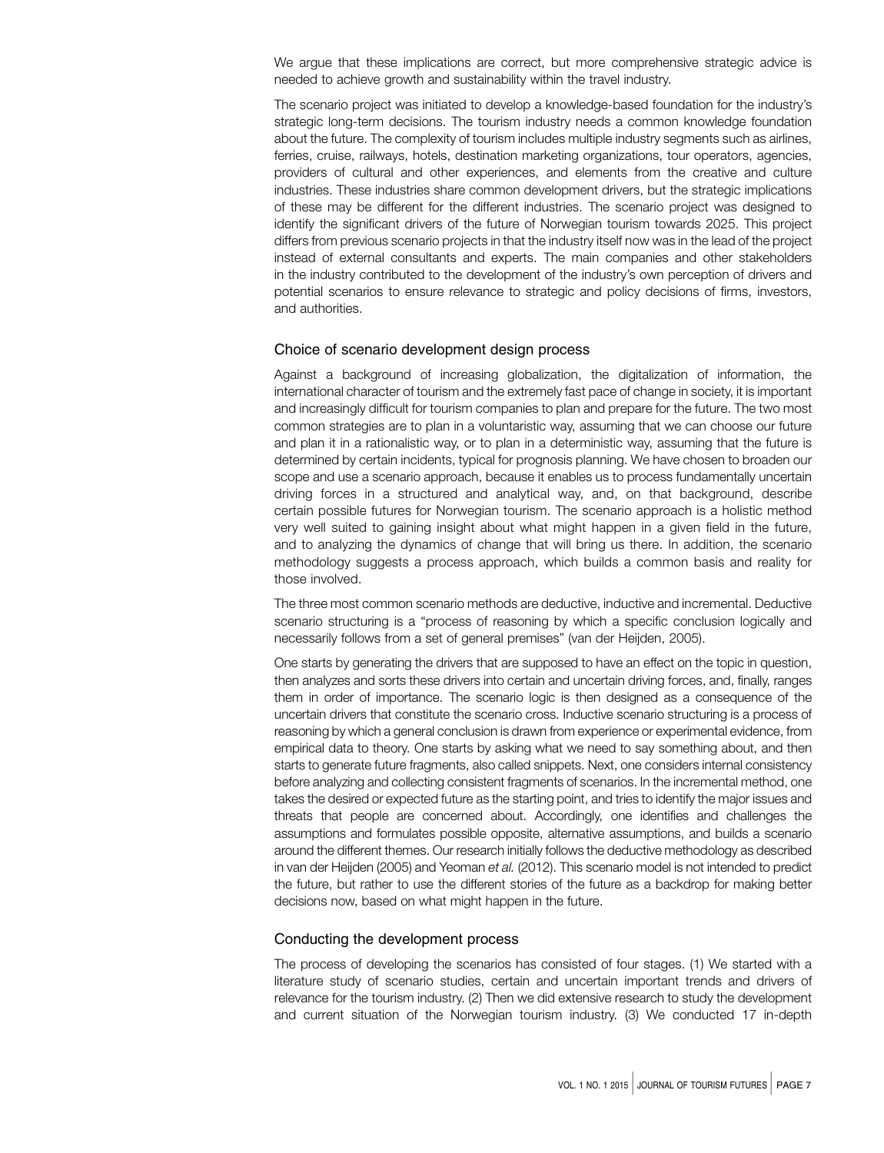We argue that these implications are correct, but more comprehensive strategic advice is needed to achieve growth and sustainability within the travel industry.

The scenario project was initiated to develop a knowledge-based foundation for the industry's strategic long-term decisions. The tourism industry needs a common knowledge foundation about the future. The complexity of tourism includes multiple industry segments such as airlines, ferries, cruise, railways, hotels, destination marketing organizations, tour operators, agencies, providers of cultural and other experiences, and elements from the creative and culture industries. These industries share common development drivers, but the strategic implications of these may be different for the different industries. The scenario project was designed to identify the significant drivers of the future of Norwegian tourism towards 2025. This project differs from previous scenario projects in that the industry itself now was in the lead of the project instead of external consultants and experts. The main companies and other stakeholders in the industry contributed to the development of the industry's own perception of drivers and potential scenarios to ensure relevance to strategic and policy decisions of firms, investors, and authorities.

#### Choice of scenario development design process

Against a background of increasing globalization, the digitalization of information, the international character of tourism and the extremely fast pace of change in society, it is important and increasingly difficult for tourism companies to plan and prepare for the future. The two most common strategies are to plan in a voluntaristic way, assuming that we can choose our future and plan it in a rationalistic way, or to plan in a deterministic way, assuming that the future is determined by certain incidents, typical for prognosis planning. We have chosen to broaden our scope and use a scenario approach, because it enables us to process fundamentally uncertain driving forces in a structured and analytical way, and, on that background, describe certain possible futures for Norwegian tourism. The scenario approach is a holistic method very well suited to gaining insight about what might happen in a given field in the future, and to analyzing the dynamics of change that will bring us there. In addition, the scenario methodology suggests a process approach, which builds a common basis and reality for those involved.

The three most common scenario methods are deductive, inductive and incremental. Deductive scenario structuring is a "process of reasoning by which a specific conclusion logically and necessarily follows from a set of general premises" (van der Heijden, 2005).

One starts by generating the drivers that are supposed to have an effect on the topic in question, then analyzes and sorts these drivers into certain and uncertain driving forces, and, finally, ranges them in order of importance. The scenario logic is then designed as a consequence of the uncertain drivers that constitute the scenario cross. Inductive scenario structuring is a process of reasoning by which a general conclusion is drawn from experience or experimental evidence, from empirical data to theory. One starts by asking what we need to say something about, and then starts to generate future fragments, also called snippets. Next, one considers internal consistency before analyzing and collecting consistent fragments of scenarios. In the incremental method, one takes the desired or expected future as the starting point, and tries to identify the major issues and threats that people are concerned about. Accordingly, one identifies and challenges the assumptions and formulates possible opposite, alternative assumptions, and builds a scenario around the different themes. Our research initially follows the deductive methodology as described in van der Heijden (2005) and Yeoman et al. (2012). This scenario model is not intended to predict the future, but rather to use the different stories of the future as a backdrop for making better decisions now, based on what might happen in the future.

#### Conducting the development process

The process of developing the scenarios has consisted of four stages. (1) We started with a literature study of scenario studies, certain and uncertain important trends and drivers of relevance for the tourism industry. (2) Then we did extensive research to study the development and current situation of the Norwegian tourism industry. (3) We conducted 17 in-depth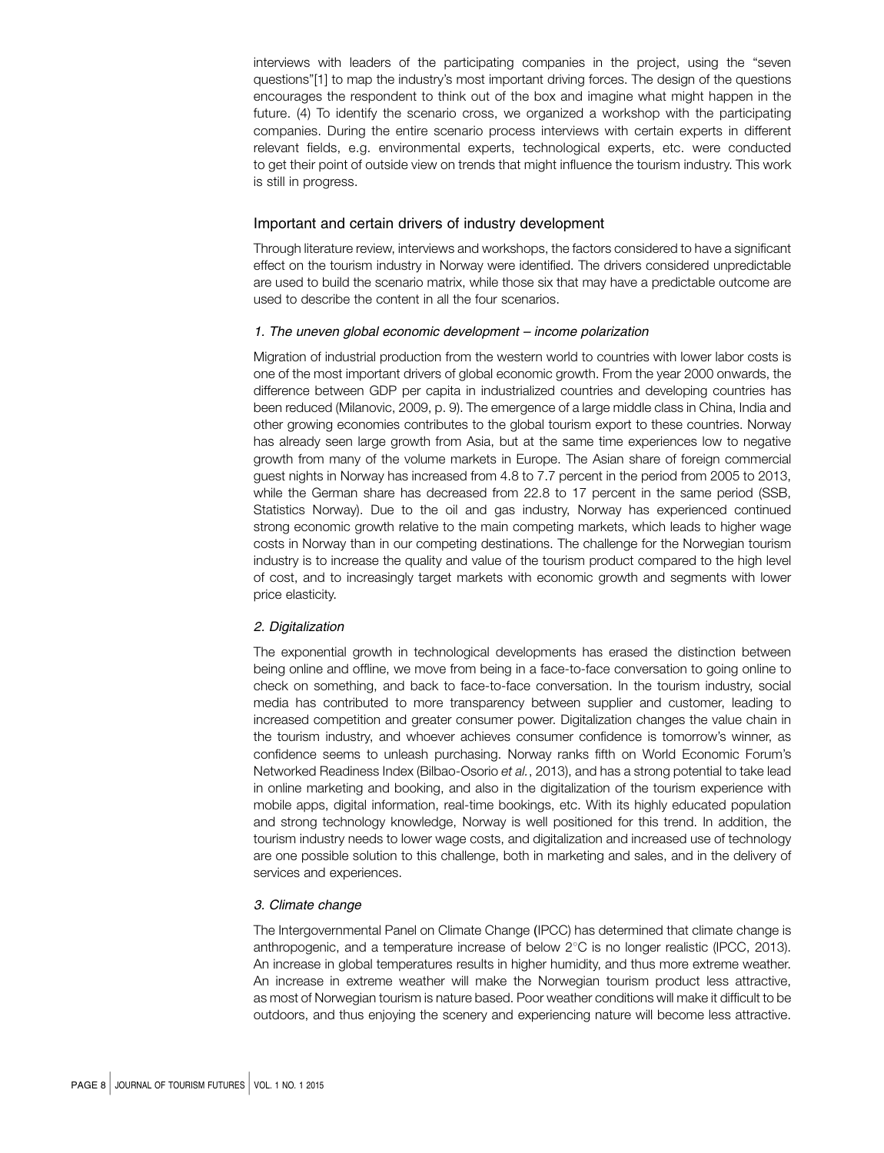interviews with leaders of the participating companies in the project, using the "seven questions"[1] to map the industry's most important driving forces. The design of the questions encourages the respondent to think out of the box and imagine what might happen in the future. (4) To identify the scenario cross, we organized a workshop with the participating companies. During the entire scenario process interviews with certain experts in different relevant fields, e.g. environmental experts, technological experts, etc. were conducted to get their point of outside view on trends that might influence the tourism industry. This work is still in progress.

## Important and certain drivers of industry development

Through literature review, interviews and workshops, the factors considered to have a significant effect on the tourism industry in Norway were identified. The drivers considered unpredictable are used to build the scenario matrix, while those six that may have a predictable outcome are used to describe the content in all the four scenarios.

## 1. The uneven global economic development – income polarization

Migration of industrial production from the western world to countries with lower labor costs is one of the most important drivers of global economic growth. From the year 2000 onwards, the difference between GDP per capita in industrialized countries and developing countries has been reduced (Milanovic, 2009, p. 9). The emergence of a large middle class in China, India and other growing economies contributes to the global tourism export to these countries. Norway has already seen large growth from Asia, but at the same time experiences low to negative growth from many of the volume markets in Europe. The Asian share of foreign commercial guest nights in Norway has increased from 4.8 to 7.7 percent in the period from 2005 to 2013, while the German share has decreased from 22.8 to 17 percent in the same period (SSB, Statistics Norway). Due to the oil and gas industry, Norway has experienced continued strong economic growth relative to the main competing markets, which leads to higher wage costs in Norway than in our competing destinations. The challenge for the Norwegian tourism industry is to increase the quality and value of the tourism product compared to the high level of cost, and to increasingly target markets with economic growth and segments with lower price elasticity.

# 2. Digitalization

The exponential growth in technological developments has erased the distinction between being online and offline, we move from being in a face-to-face conversation to going online to check on something, and back to face-to-face conversation. In the tourism industry, social media has contributed to more transparency between supplier and customer, leading to increased competition and greater consumer power. Digitalization changes the value chain in the tourism industry, and whoever achieves consumer confidence is tomorrow's winner, as confidence seems to unleash purchasing. Norway ranks fifth on World Economic Forum's Networked Readiness Index (Bilbao-Osorio et al., 2013), and has a strong potential to take lead in online marketing and booking, and also in the digitalization of the tourism experience with mobile apps, digital information, real-time bookings, etc. With its highly educated population and strong technology knowledge, Norway is well positioned for this trend. In addition, the tourism industry needs to lower wage costs, and digitalization and increased use of technology are one possible solution to this challenge, both in marketing and sales, and in the delivery of services and experiences.

# 3. Climate change

The Intergovernmental Panel on Climate Change (IPCC) has determined that climate change is anthropogenic, and a temperature increase of below  $2^{\circ}$ C is no longer realistic (IPCC, 2013). An increase in global temperatures results in higher humidity, and thus more extreme weather. An increase in extreme weather will make the Norwegian tourism product less attractive, as most of Norwegian tourism is nature based. Poor weather conditions will make it difficult to be outdoors, and thus enjoying the scenery and experiencing nature will become less attractive.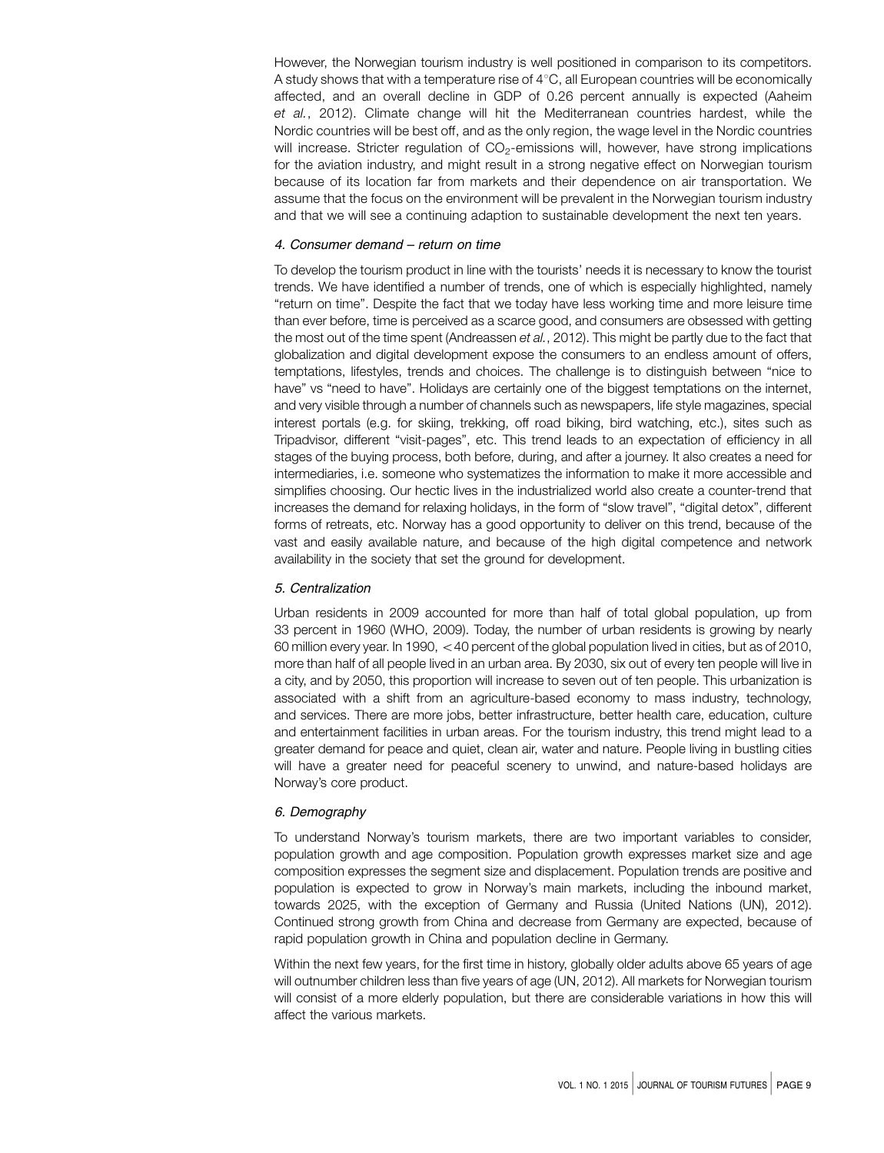However, the Norwegian tourism industry is well positioned in comparison to its competitors. A study shows that with a temperature rise of  $4^{\circ}$ C, all European countries will be economically affected, and an overall decline in GDP of 0.26 percent annually is expected (Aaheim et al., 2012). Climate change will hit the Mediterranean countries hardest, while the Nordic countries will be best off, and as the only region, the wage level in the Nordic countries will increase. Stricter regulation of  $CO<sub>2</sub>$ -emissions will, however, have strong implications for the aviation industry, and might result in a strong negative effect on Norwegian tourism because of its location far from markets and their dependence on air transportation. We assume that the focus on the environment will be prevalent in the Norwegian tourism industry and that we will see a continuing adaption to sustainable development the next ten years.

#### 4. Consumer demand – return on time

To develop the tourism product in line with the tourists' needs it is necessary to know the tourist trends. We have identified a number of trends, one of which is especially highlighted, namely "return on time". Despite the fact that we today have less working time and more leisure time than ever before, time is perceived as a scarce good, and consumers are obsessed with getting the most out of the time spent (Andreassen et al., 2012). This might be partly due to the fact that globalization and digital development expose the consumers to an endless amount of offers, temptations, lifestyles, trends and choices. The challenge is to distinguish between "nice to have" vs "need to have". Holidays are certainly one of the biggest temptations on the internet, and very visible through a number of channels such as newspapers, life style magazines, special interest portals (e.g. for skiing, trekking, off road biking, bird watching, etc.), sites such as Tripadvisor, different "visit-pages", etc. This trend leads to an expectation of efficiency in all stages of the buying process, both before, during, and after a journey. It also creates a need for intermediaries, i.e. someone who systematizes the information to make it more accessible and simplifies choosing. Our hectic lives in the industrialized world also create a counter-trend that increases the demand for relaxing holidays, in the form of "slow travel", "digital detox", different forms of retreats, etc. Norway has a good opportunity to deliver on this trend, because of the vast and easily available nature, and because of the high digital competence and network availability in the society that set the ground for development.

## 5. Centralization

Urban residents in 2009 accounted for more than half of total global population, up from 33 percent in 1960 (WHO, 2009). Today, the number of urban residents is growing by nearly 60 million every year. In 1990,  $<$  40 percent of the global population lived in cities, but as of 2010, more than half of all people lived in an urban area. By 2030, six out of every ten people will live in a city, and by 2050, this proportion will increase to seven out of ten people. This urbanization is associated with a shift from an agriculture-based economy to mass industry, technology, and services. There are more jobs, better infrastructure, better health care, education, culture and entertainment facilities in urban areas. For the tourism industry, this trend might lead to a greater demand for peace and quiet, clean air, water and nature. People living in bustling cities will have a greater need for peaceful scenery to unwind, and nature-based holidays are Norway's core product.

## 6. Demography

To understand Norway's tourism markets, there are two important variables to consider, population growth and age composition. Population growth expresses market size and age composition expresses the segment size and displacement. Population trends are positive and population is expected to grow in Norway's main markets, including the inbound market, towards 2025, with the exception of Germany and Russia (United Nations (UN), 2012). Continued strong growth from China and decrease from Germany are expected, because of rapid population growth in China and population decline in Germany.

Within the next few years, for the first time in history, globally older adults above 65 years of age will outnumber children less than five years of age (UN, 2012). All markets for Norwegian tourism will consist of a more elderly population, but there are considerable variations in how this will affect the various markets.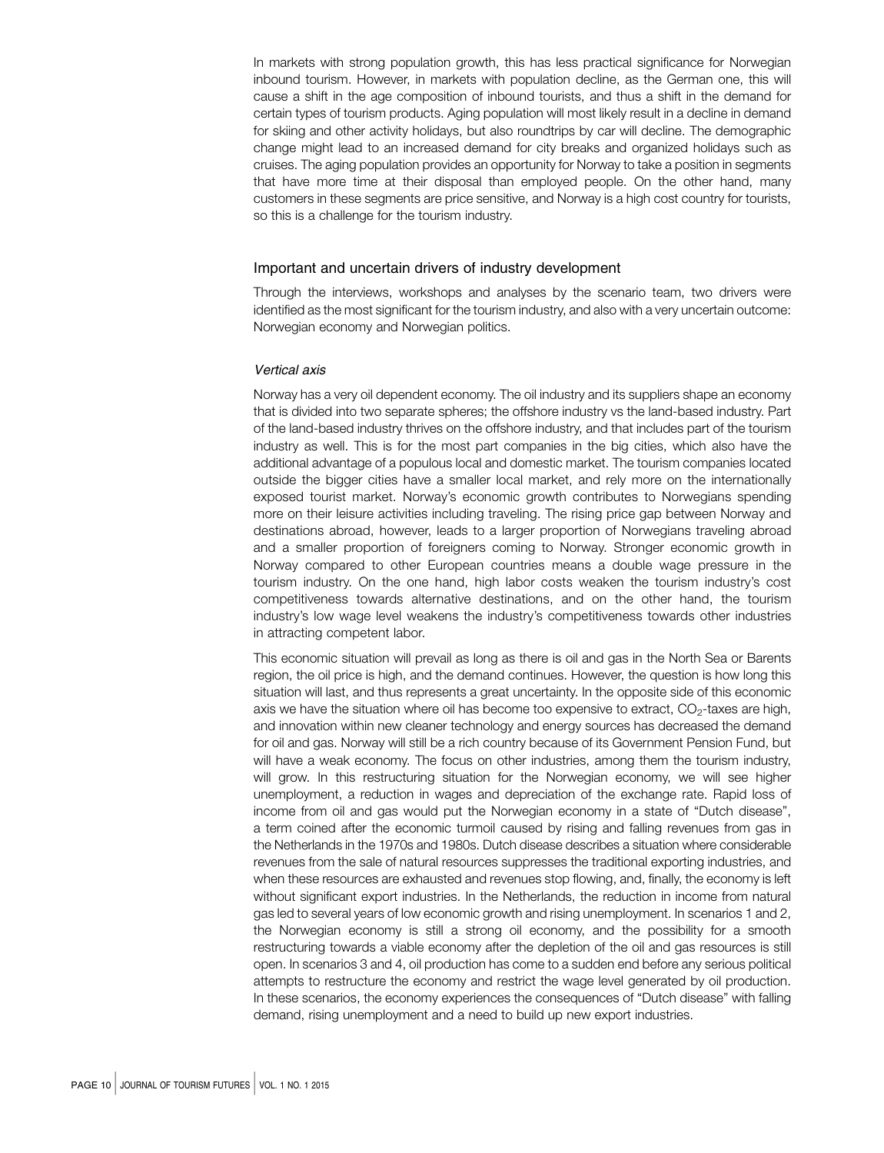In markets with strong population growth, this has less practical significance for Norwegian inbound tourism. However, in markets with population decline, as the German one, this will cause a shift in the age composition of inbound tourists, and thus a shift in the demand for certain types of tourism products. Aging population will most likely result in a decline in demand for skiing and other activity holidays, but also roundtrips by car will decline. The demographic change might lead to an increased demand for city breaks and organized holidays such as cruises. The aging population provides an opportunity for Norway to take a position in segments that have more time at their disposal than employed people. On the other hand, many customers in these segments are price sensitive, and Norway is a high cost country for tourists, so this is a challenge for the tourism industry.

#### Important and uncertain drivers of industry development

Through the interviews, workshops and analyses by the scenario team, two drivers were identified as the most significant for the tourism industry, and also with a very uncertain outcome: Norwegian economy and Norwegian politics.

#### Vertical axis

Norway has a very oil dependent economy. The oil industry and its suppliers shape an economy that is divided into two separate spheres; the offshore industry vs the land-based industry. Part of the land-based industry thrives on the offshore industry, and that includes part of the tourism industry as well. This is for the most part companies in the big cities, which also have the additional advantage of a populous local and domestic market. The tourism companies located outside the bigger cities have a smaller local market, and rely more on the internationally exposed tourist market. Norway's economic growth contributes to Norwegians spending more on their leisure activities including traveling. The rising price gap between Norway and destinations abroad, however, leads to a larger proportion of Norwegians traveling abroad and a smaller proportion of foreigners coming to Norway. Stronger economic growth in Norway compared to other European countries means a double wage pressure in the tourism industry. On the one hand, high labor costs weaken the tourism industry's cost competitiveness towards alternative destinations, and on the other hand, the tourism industry's low wage level weakens the industry's competitiveness towards other industries in attracting competent labor.

This economic situation will prevail as long as there is oil and gas in the North Sea or Barents region, the oil price is high, and the demand continues. However, the question is how long this situation will last, and thus represents a great uncertainty. In the opposite side of this economic axis we have the situation where oil has become too expensive to extract,  $CO<sub>2</sub>$ -taxes are high, and innovation within new cleaner technology and energy sources has decreased the demand for oil and gas. Norway will still be a rich country because of its Government Pension Fund, but will have a weak economy. The focus on other industries, among them the tourism industry, will grow. In this restructuring situation for the Norwegian economy, we will see higher unemployment, a reduction in wages and depreciation of the exchange rate. Rapid loss of income from oil and gas would put the Norwegian economy in a state of "Dutch disease", a term coined after the economic turmoil caused by rising and falling revenues from gas in the Netherlands in the 1970s and 1980s. Dutch disease describes a situation where considerable revenues from the sale of natural resources suppresses the traditional exporting industries, and when these resources are exhausted and revenues stop flowing, and, finally, the economy is left without significant export industries. In the Netherlands, the reduction in income from natural gas led to several years of low economic growth and rising unemployment. In scenarios 1 and 2, the Norwegian economy is still a strong oil economy, and the possibility for a smooth restructuring towards a viable economy after the depletion of the oil and gas resources is still open. In scenarios 3 and 4, oil production has come to a sudden end before any serious political attempts to restructure the economy and restrict the wage level generated by oil production. In these scenarios, the economy experiences the consequences of "Dutch disease" with falling demand, rising unemployment and a need to build up new export industries.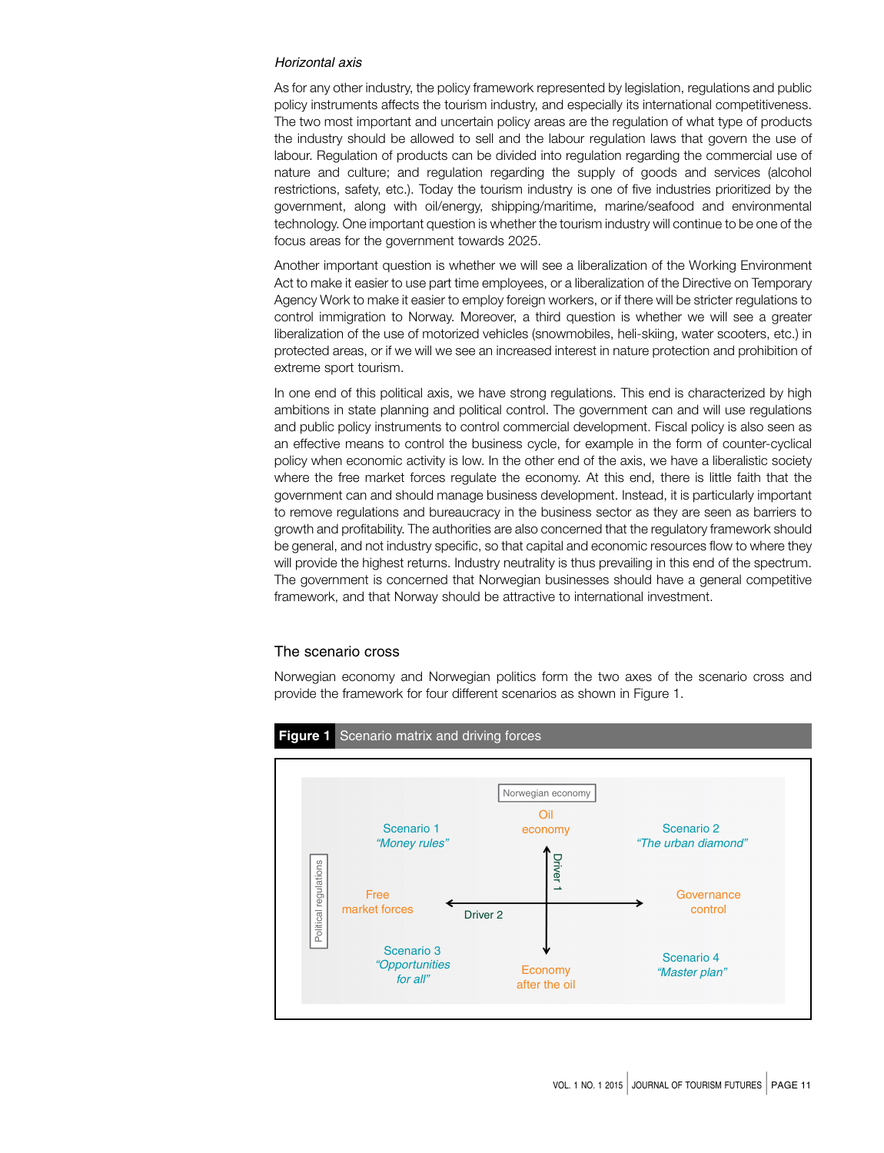#### Horizontal axis

As for any other industry, the policy framework represented by legislation, regulations and public policy instruments affects the tourism industry, and especially its international competitiveness. The two most important and uncertain policy areas are the regulation of what type of products the industry should be allowed to sell and the labour regulation laws that govern the use of labour. Regulation of products can be divided into regulation regarding the commercial use of nature and culture; and regulation regarding the supply of goods and services (alcohol restrictions, safety, etc.). Today the tourism industry is one of five industries prioritized by the government, along with oil/energy, shipping/maritime, marine/seafood and environmental technology. One important question is whether the tourism industry will continue to be one of the focus areas for the government towards 2025.

Another important question is whether we will see a liberalization of the Working Environment Act to make it easier to use part time employees, or a liberalization of the Directive on Temporary Agency Work to make it easier to employ foreign workers, or if there will be stricter regulations to control immigration to Norway. Moreover, a third question is whether we will see a greater liberalization of the use of motorized vehicles (snowmobiles, heli-skiing, water scooters, etc.) in protected areas, or if we will we see an increased interest in nature protection and prohibition of extreme sport tourism.

In one end of this political axis, we have strong regulations. This end is characterized by high ambitions in state planning and political control. The government can and will use regulations and public policy instruments to control commercial development. Fiscal policy is also seen as an effective means to control the business cycle, for example in the form of counter-cyclical policy when economic activity is low. In the other end of the axis, we have a liberalistic society where the free market forces regulate the economy. At this end, there is little faith that the government can and should manage business development. Instead, it is particularly important to remove regulations and bureaucracy in the business sector as they are seen as barriers to growth and profitability. The authorities are also concerned that the regulatory framework should be general, and not industry specific, so that capital and economic resources flow to where they will provide the highest returns. Industry neutrality is thus prevailing in this end of the spectrum. The government is concerned that Norwegian businesses should have a general competitive framework, and that Norway should be attractive to international investment.

## The scenario cross

Norwegian economy and Norwegian politics form the two axes of the scenario cross and provide the framework for four different scenarios as shown in Figure 1.

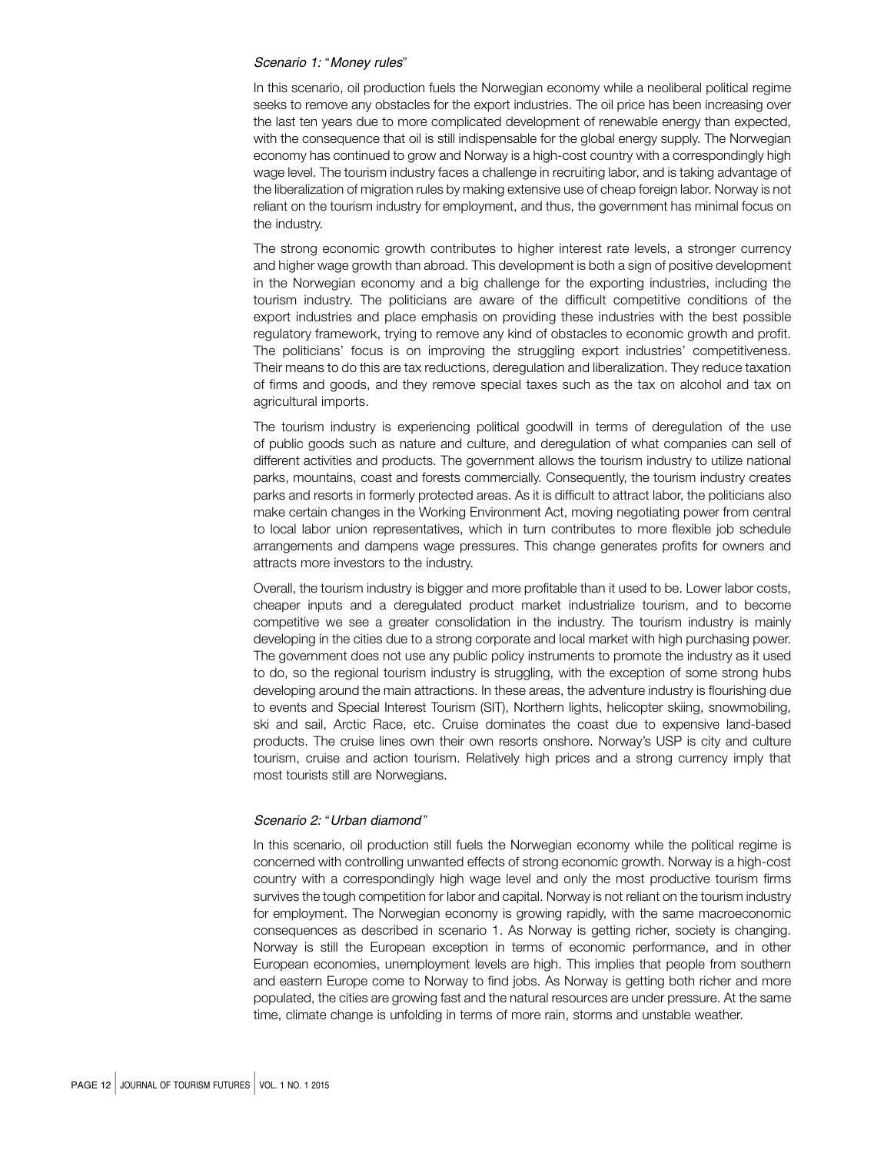#### Scenario 1: "Money rules"

In this scenario, oil production fuels the Norwegian economy while a neoliberal political regime seeks to remove any obstacles for the export industries. The oil price has been increasing over the last ten years due to more complicated development of renewable energy than expected, with the consequence that oil is still indispensable for the global energy supply. The Norwegian economy has continued to grow and Norway is a high-cost country with a correspondingly high wage level. The tourism industry faces a challenge in recruiting labor, and is taking advantage of the liberalization of migration rules by making extensive use of cheap foreign labor. Norway is not reliant on the tourism industry for employment, and thus, the government has minimal focus on the industry.

The strong economic growth contributes to higher interest rate levels, a stronger currency and higher wage growth than abroad. This development is both a sign of positive development in the Norwegian economy and a big challenge for the exporting industries, including the tourism industry. The politicians are aware of the difficult competitive conditions of the export industries and place emphasis on providing these industries with the best possible regulatory framework, trying to remove any kind of obstacles to economic growth and profit. The politicians' focus is on improving the struggling export industries' competitiveness. Their means to do this are tax reductions, deregulation and liberalization. They reduce taxation of firms and goods, and they remove special taxes such as the tax on alcohol and tax on agricultural imports.

The tourism industry is experiencing political goodwill in terms of deregulation of the use of public goods such as nature and culture, and deregulation of what companies can sell of different activities and products. The government allows the tourism industry to utilize national parks, mountains, coast and forests commercially. Consequently, the tourism industry creates parks and resorts in formerly protected areas. As it is difficult to attract labor, the politicians also make certain changes in the Working Environment Act, moving negotiating power from central to local labor union representatives, which in turn contributes to more flexible job schedule arrangements and dampens wage pressures. This change generates profits for owners and attracts more investors to the industry.

Overall, the tourism industry is bigger and more profitable than it used to be. Lower labor costs, cheaper inputs and a deregulated product market industrialize tourism, and to become competitive we see a greater consolidation in the industry. The tourism industry is mainly developing in the cities due to a strong corporate and local market with high purchasing power. The government does not use any public policy instruments to promote the industry as it used to do, so the regional tourism industry is struggling, with the exception of some strong hubs developing around the main attractions. In these areas, the adventure industry is flourishing due to events and Special Interest Tourism (SIT), Northern lights, helicopter skiing, snowmobiling, ski and sail, Arctic Race, etc. Cruise dominates the coast due to expensive land-based products. The cruise lines own their own resorts onshore. Norway's USP is city and culture tourism, cruise and action tourism. Relatively high prices and a strong currency imply that most tourists still are Norwegians.

#### Scenario 2: "Urban diamond"

In this scenario, oil production still fuels the Norwegian economy while the political regime is concerned with controlling unwanted effects of strong economic growth. Norway is a high-cost country with a correspondingly high wage level and only the most productive tourism firms survives the tough competition for labor and capital. Norway is not reliant on the tourism industry for employment. The Norwegian economy is growing rapidly, with the same macroeconomic consequences as described in scenario 1. As Norway is getting richer, society is changing. Norway is still the European exception in terms of economic performance, and in other European economies, unemployment levels are high. This implies that people from southern and eastern Europe come to Norway to find jobs. As Norway is getting both richer and more populated, the cities are growing fast and the natural resources are under pressure. At the same time, climate change is unfolding in terms of more rain, storms and unstable weather.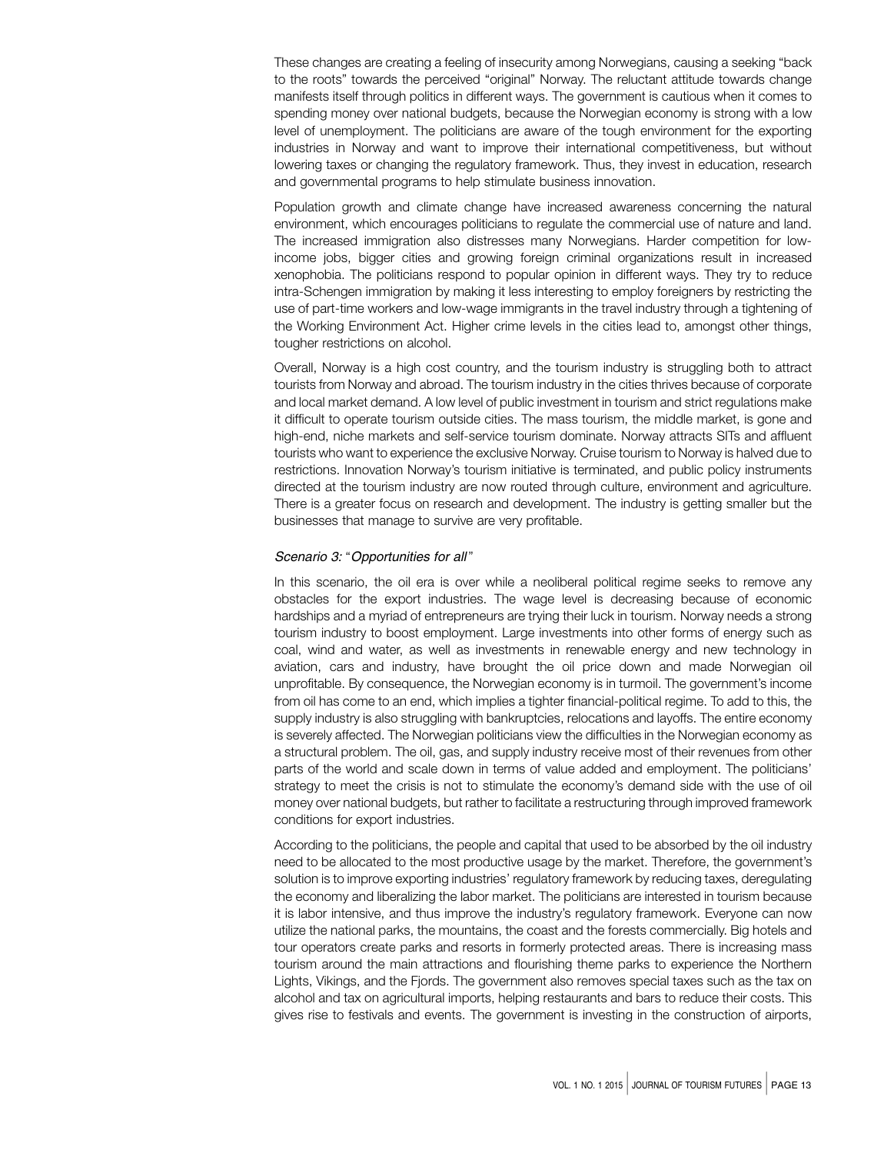These changes are creating a feeling of insecurity among Norwegians, causing a seeking "back to the roots" towards the perceived "original" Norway. The reluctant attitude towards change manifests itself through politics in different ways. The government is cautious when it comes to spending money over national budgets, because the Norwegian economy is strong with a low level of unemployment. The politicians are aware of the tough environment for the exporting industries in Norway and want to improve their international competitiveness, but without lowering taxes or changing the regulatory framework. Thus, they invest in education, research and governmental programs to help stimulate business innovation.

Population growth and climate change have increased awareness concerning the natural environment, which encourages politicians to regulate the commercial use of nature and land. The increased immigration also distresses many Norwegians. Harder competition for lowincome jobs, bigger cities and growing foreign criminal organizations result in increased xenophobia. The politicians respond to popular opinion in different ways. They try to reduce intra-Schengen immigration by making it less interesting to employ foreigners by restricting the use of part-time workers and low-wage immigrants in the travel industry through a tightening of the Working Environment Act. Higher crime levels in the cities lead to, amongst other things, tougher restrictions on alcohol.

Overall, Norway is a high cost country, and the tourism industry is struggling both to attract tourists from Norway and abroad. The tourism industry in the cities thrives because of corporate and local market demand. A low level of public investment in tourism and strict regulations make it difficult to operate tourism outside cities. The mass tourism, the middle market, is gone and high-end, niche markets and self-service tourism dominate. Norway attracts SITs and affluent tourists who want to experience the exclusive Norway. Cruise tourism to Norway is halved due to restrictions. Innovation Norway's tourism initiative is terminated, and public policy instruments directed at the tourism industry are now routed through culture, environment and agriculture. There is a greater focus on research and development. The industry is getting smaller but the businesses that manage to survive are very profitable.

#### Scenario 3: "Opportunities for all"

In this scenario, the oil era is over while a neoliberal political regime seeks to remove any obstacles for the export industries. The wage level is decreasing because of economic hardships and a myriad of entrepreneurs are trying their luck in tourism. Norway needs a strong tourism industry to boost employment. Large investments into other forms of energy such as coal, wind and water, as well as investments in renewable energy and new technology in aviation, cars and industry, have brought the oil price down and made Norwegian oil unprofitable. By consequence, the Norwegian economy is in turmoil. The government's income from oil has come to an end, which implies a tighter financial-political regime. To add to this, the supply industry is also struggling with bankruptcies, relocations and layoffs. The entire economy is severely affected. The Norwegian politicians view the difficulties in the Norwegian economy as a structural problem. The oil, gas, and supply industry receive most of their revenues from other parts of the world and scale down in terms of value added and employment. The politicians' strategy to meet the crisis is not to stimulate the economy's demand side with the use of oil money over national budgets, but rather to facilitate a restructuring through improved framework conditions for export industries.

According to the politicians, the people and capital that used to be absorbed by the oil industry need to be allocated to the most productive usage by the market. Therefore, the government's solution is to improve exporting industries' regulatory framework by reducing taxes, deregulating the economy and liberalizing the labor market. The politicians are interested in tourism because it is labor intensive, and thus improve the industry's regulatory framework. Everyone can now utilize the national parks, the mountains, the coast and the forests commercially. Big hotels and tour operators create parks and resorts in formerly protected areas. There is increasing mass tourism around the main attractions and flourishing theme parks to experience the Northern Lights, Vikings, and the Fjords. The government also removes special taxes such as the tax on alcohol and tax on agricultural imports, helping restaurants and bars to reduce their costs. This gives rise to festivals and events. The government is investing in the construction of airports,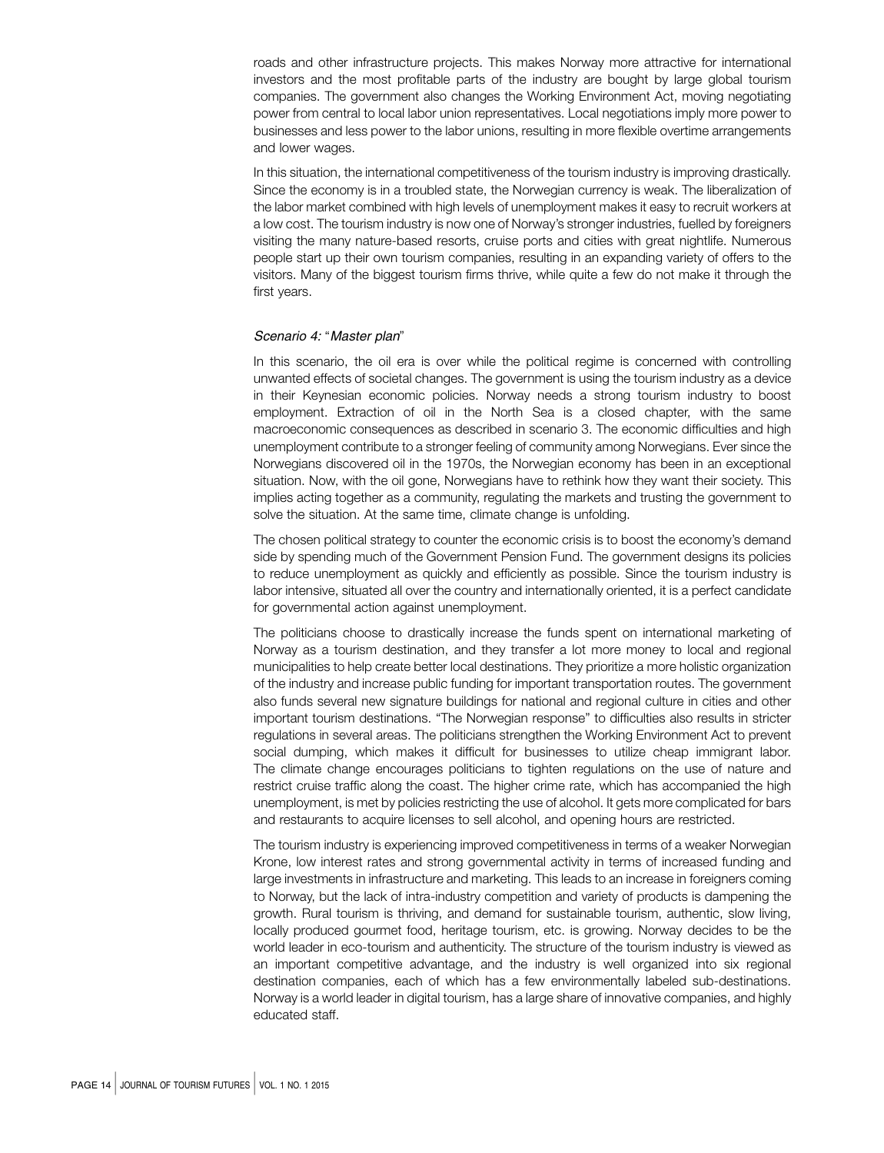roads and other infrastructure projects. This makes Norway more attractive for international investors and the most profitable parts of the industry are bought by large global tourism companies. The government also changes the Working Environment Act, moving negotiating power from central to local labor union representatives. Local negotiations imply more power to businesses and less power to the labor unions, resulting in more flexible overtime arrangements and lower wages.

In this situation, the international competitiveness of the tourism industry is improving drastically. Since the economy is in a troubled state, the Norwegian currency is weak. The liberalization of the labor market combined with high levels of unemployment makes it easy to recruit workers at a low cost. The tourism industry is now one of Norway's stronger industries, fuelled by foreigners visiting the many nature-based resorts, cruise ports and cities with great nightlife. Numerous people start up their own tourism companies, resulting in an expanding variety of offers to the visitors. Many of the biggest tourism firms thrive, while quite a few do not make it through the first years.

#### Scenario 4: "Master plan"

In this scenario, the oil era is over while the political regime is concerned with controlling unwanted effects of societal changes. The government is using the tourism industry as a device in their Keynesian economic policies. Norway needs a strong tourism industry to boost employment. Extraction of oil in the North Sea is a closed chapter, with the same macroeconomic consequences as described in scenario 3. The economic difficulties and high unemployment contribute to a stronger feeling of community among Norwegians. Ever since the Norwegians discovered oil in the 1970s, the Norwegian economy has been in an exceptional situation. Now, with the oil gone, Norwegians have to rethink how they want their society. This implies acting together as a community, regulating the markets and trusting the government to solve the situation. At the same time, climate change is unfolding.

The chosen political strategy to counter the economic crisis is to boost the economy's demand side by spending much of the Government Pension Fund. The government designs its policies to reduce unemployment as quickly and efficiently as possible. Since the tourism industry is labor intensive, situated all over the country and internationally oriented, it is a perfect candidate for governmental action against unemployment.

The politicians choose to drastically increase the funds spent on international marketing of Norway as a tourism destination, and they transfer a lot more money to local and regional municipalities to help create better local destinations. They prioritize a more holistic organization of the industry and increase public funding for important transportation routes. The government also funds several new signature buildings for national and regional culture in cities and other important tourism destinations. "The Norwegian response" to difficulties also results in stricter regulations in several areas. The politicians strengthen the Working Environment Act to prevent social dumping, which makes it difficult for businesses to utilize cheap immigrant labor. The climate change encourages politicians to tighten regulations on the use of nature and restrict cruise traffic along the coast. The higher crime rate, which has accompanied the high unemployment, is met by policies restricting the use of alcohol. It gets more complicated for bars and restaurants to acquire licenses to sell alcohol, and opening hours are restricted.

The tourism industry is experiencing improved competitiveness in terms of a weaker Norwegian Krone, low interest rates and strong governmental activity in terms of increased funding and large investments in infrastructure and marketing. This leads to an increase in foreigners coming to Norway, but the lack of intra-industry competition and variety of products is dampening the growth. Rural tourism is thriving, and demand for sustainable tourism, authentic, slow living, locally produced gourmet food, heritage tourism, etc. is growing. Norway decides to be the world leader in eco-tourism and authenticity. The structure of the tourism industry is viewed as an important competitive advantage, and the industry is well organized into six regional destination companies, each of which has a few environmentally labeled sub-destinations. Norway is a world leader in digital tourism, has a large share of innovative companies, and highly educated staff.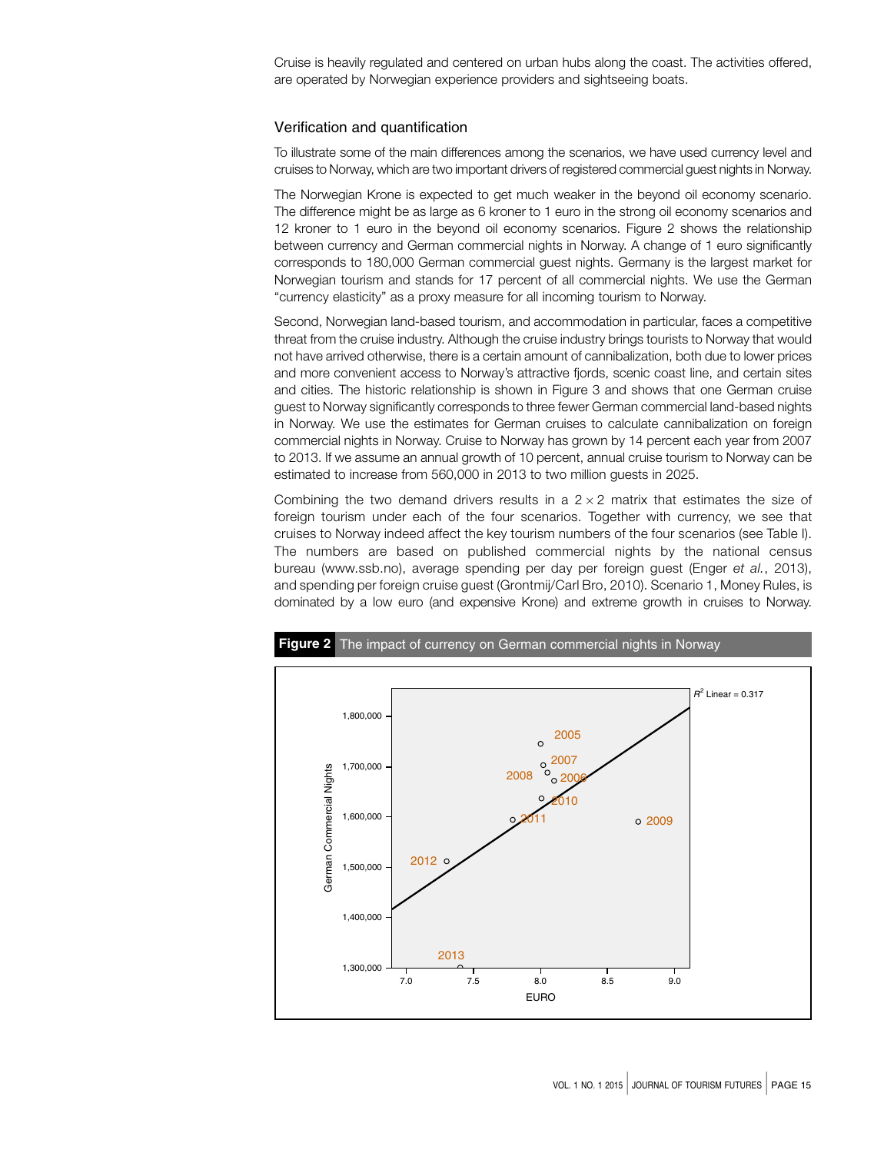Cruise is heavily regulated and centered on urban hubs along the coast. The activities offered, are operated by Norwegian experience providers and sightseeing boats.

## Verification and quantification

To illustrate some of the main differences among the scenarios, we have used currency level and cruises to Norway, which are two important drivers of registered commercial guest nights in Norway.

The Norwegian Krone is expected to get much weaker in the beyond oil economy scenario. The difference might be as large as 6 kroner to 1 euro in the strong oil economy scenarios and 12 kroner to 1 euro in the beyond oil economy scenarios. Figure 2 shows the relationship between currency and German commercial nights in Norway. A change of 1 euro significantly corresponds to 180,000 German commercial guest nights. Germany is the largest market for Norwegian tourism and stands for 17 percent of all commercial nights. We use the German "currency elasticity" as a proxy measure for all incoming tourism to Norway.

Second, Norwegian land-based tourism, and accommodation in particular, faces a competitive threat from the cruise industry. Although the cruise industry brings tourists to Norway that would not have arrived otherwise, there is a certain amount of cannibalization, both due to lower prices and more convenient access to Norway's attractive fjords, scenic coast line, and certain sites and cities. The historic relationship is shown in Figure 3 and shows that one German cruise guest to Norway significantly corresponds to three fewer German commercial land-based nights in Norway. We use the estimates for German cruises to calculate cannibalization on foreign commercial nights in Norway. Cruise to Norway has grown by 14 percent each year from 2007 to 2013. If we assume an annual growth of 10 percent, annual cruise tourism to Norway can be estimated to increase from 560,000 in 2013 to two million guests in 2025.

Combining the two demand drivers results in a  $2 \times 2$  matrix that estimates the size of foreign tourism under each of the four scenarios. Together with currency, we see that cruises to Norway indeed affect the key tourism numbers of the four scenarios (see Table I). The numbers are based on published commercial nights by the national census bureau (www.ssb.no), average spending per day per foreign guest (Enger et al., 2013), and spending per foreign cruise guest (Grontmij/Carl Bro, 2010). Scenario 1, Money Rules, is dominated by a low euro (and expensive Krone) and extreme growth in cruises to Norway.

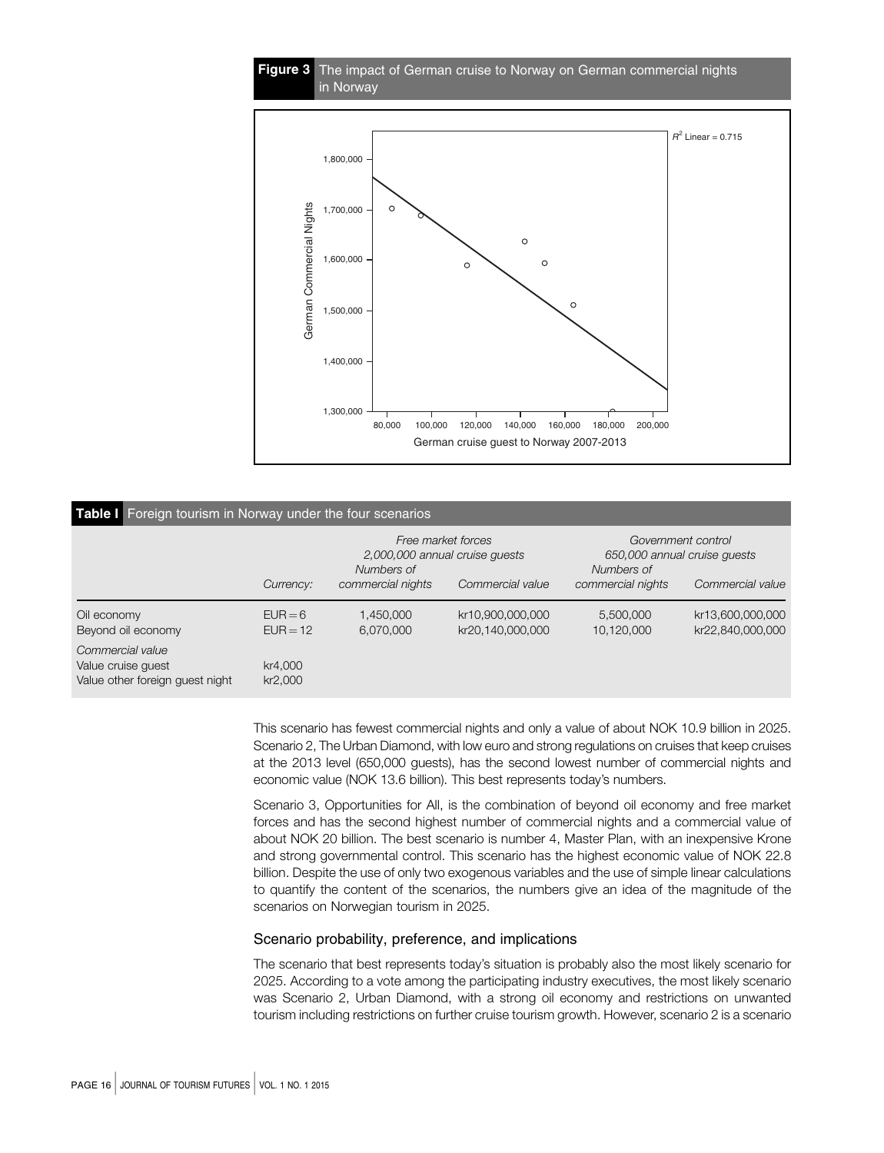Figure 3 The impact of German cruise to Norway on German commercial nights in Norway



#### Table I Foreign tourism in Norway under the four scenarios Free market forces 2,000,000 annual cruise guests Government control 650,000 annual cruise guests Currency: Numbers of commercial nights Commercial value Numbers of commercial nights Commercial value Oil economy  $EUR = 6$  1,450,000 kr10,900,000,000 5,500,000 kr13,600,000,000 Beyond oil economy  $EUR = 12$  6,070,000 kr20,140,000,000 10,120,000 kr22,840,000,000 Commercial value Value cruise quest kr4,000 Value other foreign guest night kr2,000

This scenario has fewest commercial nights and only a value of about NOK 10.9 billion in 2025. Scenario 2, The Urban Diamond, with low euro and strong regulations on cruises that keep cruises at the 2013 level (650,000 guests), has the second lowest number of commercial nights and economic value (NOK 13.6 billion). This best represents today's numbers.

Scenario 3, Opportunities for All, is the combination of beyond oil economy and free market forces and has the second highest number of commercial nights and a commercial value of about NOK 20 billion. The best scenario is number 4, Master Plan, with an inexpensive Krone and strong governmental control. This scenario has the highest economic value of NOK 22.8 billion. Despite the use of only two exogenous variables and the use of simple linear calculations to quantify the content of the scenarios, the numbers give an idea of the magnitude of the scenarios on Norwegian tourism in 2025.

## Scenario probability, preference, and implications

The scenario that best represents today's situation is probably also the most likely scenario for 2025. According to a vote among the participating industry executives, the most likely scenario was Scenario 2, Urban Diamond, with a strong oil economy and restrictions on unwanted tourism including restrictions on further cruise tourism growth. However, scenario 2 is a scenario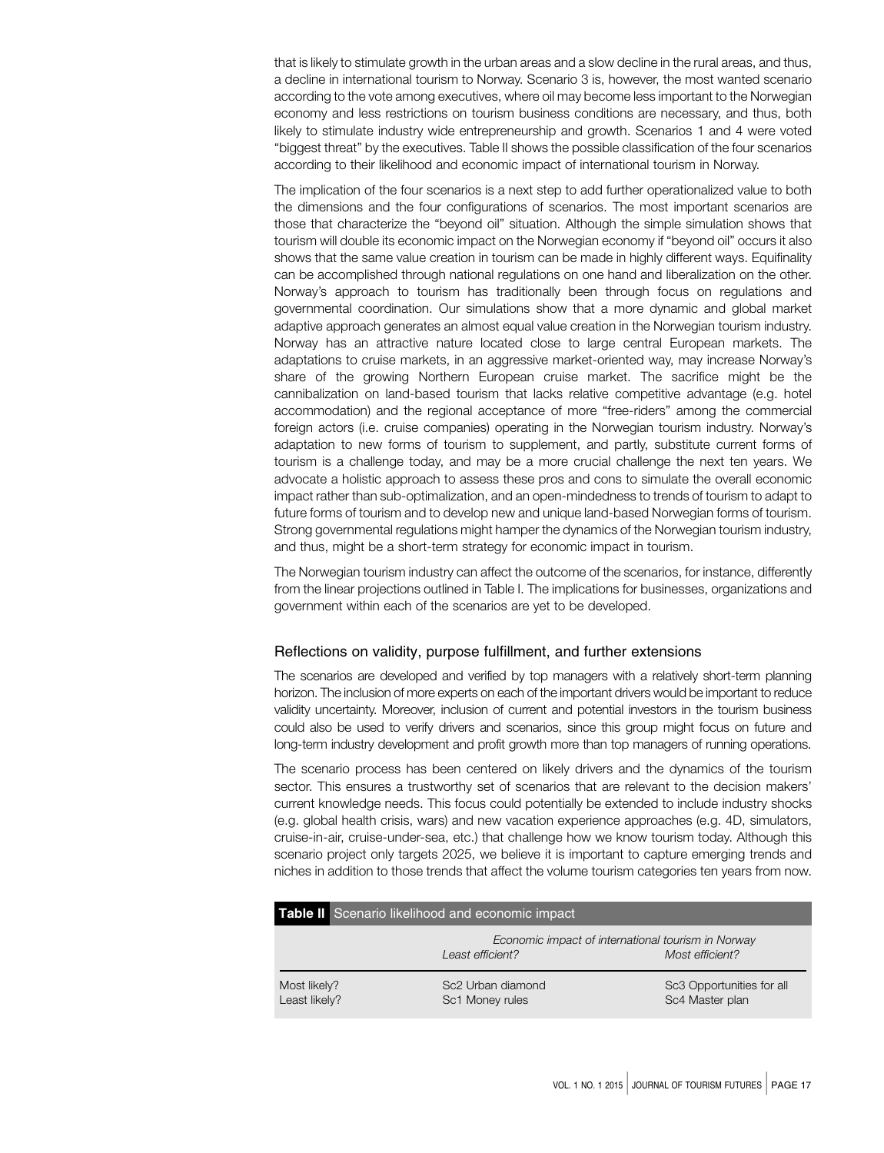that is likely to stimulate growth in the urban areas and a slow decline in the rural areas, and thus, a decline in international tourism to Norway. Scenario 3 is, however, the most wanted scenario according to the vote among executives, where oil may become less important to the Norwegian economy and less restrictions on tourism business conditions are necessary, and thus, both likely to stimulate industry wide entrepreneurship and growth. Scenarios 1 and 4 were voted "biggest threat" by the executives. Table II shows the possible classification of the four scenarios according to their likelihood and economic impact of international tourism in Norway.

The implication of the four scenarios is a next step to add further operationalized value to both the dimensions and the four configurations of scenarios. The most important scenarios are those that characterize the "beyond oil" situation. Although the simple simulation shows that tourism will double its economic impact on the Norwegian economy if "beyond oil" occurs it also shows that the same value creation in tourism can be made in highly different ways. Equifinality can be accomplished through national regulations on one hand and liberalization on the other. Norway's approach to tourism has traditionally been through focus on regulations and governmental coordination. Our simulations show that a more dynamic and global market adaptive approach generates an almost equal value creation in the Norwegian tourism industry. Norway has an attractive nature located close to large central European markets. The adaptations to cruise markets, in an aggressive market-oriented way, may increase Norway's share of the growing Northern European cruise market. The sacrifice might be the cannibalization on land-based tourism that lacks relative competitive advantage (e.g. hotel accommodation) and the regional acceptance of more "free-riders" among the commercial foreign actors (i.e. cruise companies) operating in the Norwegian tourism industry. Norway's adaptation to new forms of tourism to supplement, and partly, substitute current forms of tourism is a challenge today, and may be a more crucial challenge the next ten years. We advocate a holistic approach to assess these pros and cons to simulate the overall economic impact rather than sub-optimalization, and an open-mindedness to trends of tourism to adapt to future forms of tourism and to develop new and unique land-based Norwegian forms of tourism. Strong governmental regulations might hamper the dynamics of the Norwegian tourism industry, and thus, might be a short-term strategy for economic impact in tourism.

The Norwegian tourism industry can affect the outcome of the scenarios, for instance, differently from the linear projections outlined in Table I. The implications for businesses, organizations and government within each of the scenarios are yet to be developed.

## Reflections on validity, purpose fulfillment, and further extensions

The scenarios are developed and verified by top managers with a relatively short-term planning horizon. The inclusion of more experts on each of the important drivers would be important to reduce validity uncertainty. Moreover, inclusion of current and potential investors in the tourism business could also be used to verify drivers and scenarios, since this group might focus on future and long-term industry development and profit growth more than top managers of running operations.

The scenario process has been centered on likely drivers and the dynamics of the tourism sector. This ensures a trustworthy set of scenarios that are relevant to the decision makers' current knowledge needs. This focus could potentially be extended to include industry shocks (e.g. global health crisis, wars) and new vacation experience approaches (e.g. 4D, simulators, cruise-in-air, cruise-under-sea, etc.) that challenge how we know tourism today. Although this scenario project only targets 2025, we believe it is important to capture emerging trends and niches in addition to those trends that affect the volume tourism categories ten years from now.

|                               | Table II Scenario likelihood and economic impact |                                                                        |                                              |  |
|-------------------------------|--------------------------------------------------|------------------------------------------------------------------------|----------------------------------------------|--|
|                               |                                                  | Economic impact of international tourism in Norway<br>Least efficient? | Most efficient?                              |  |
| Most likely?<br>Least likely? |                                                  | Sc2 Urban diamond<br>Sc1 Money rules                                   | Sc3 Opportunities for all<br>Sc4 Master plan |  |